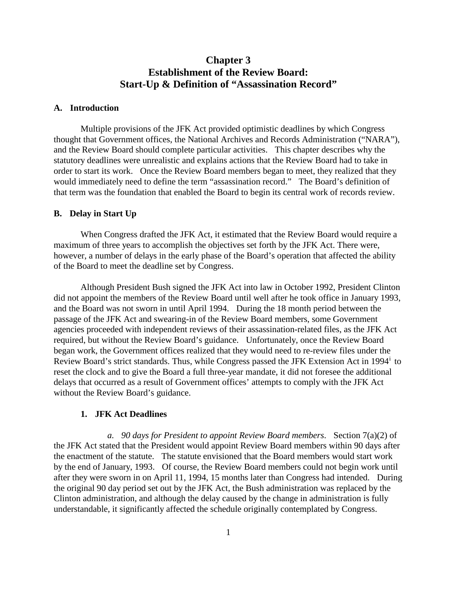# **Chapter 3 Establishment of the Review Board: Start-Up & Definition of "Assassination Record"**

### **A. Introduction**

Multiple provisions of the JFK Act provided optimistic deadlines by which Congress thought that Government offices, the National Archives and Records Administration ("NARA"), and the Review Board should complete particular activities. This chapter describes why the statutory deadlines were unrealistic and explains actions that the Review Board had to take in order to start its work. Once the Review Board members began to meet, they realized that they would immediately need to define the term "assassination record." The Board's definition of that term was the foundation that enabled the Board to begin its central work of records review.

#### **B. Delay in Start Up**

When Congress drafted the JFK Act, it estimated that the Review Board would require a maximum of three years to accomplish the objectives set forth by the JFK Act. There were, however, a number of delays in the early phase of the Board's operation that affected the ability of the Board to meet the deadline set by Congress.

Although President Bush signed the JFK Act into law in October 1992, President Clinton did not appoint the members of the Review Board until well after he took office in January 1993, and the Board was not sworn in until April 1994. During the 18 month period between the passage of the JFK Act and swearing-in of the Review Board members, some Government agencies proceeded with independent reviews of their assassination-related files, as the JFK Act required, but without the Review Board's guidance. Unfortunately, once the Review Board began work, the Government offices realized that they would need to re-review files under the Rev[i](#page-10-0)ew Board's strict standards. Thus, while Congress passed the JFK Extension Act in 1994<sup>i</sup> to reset the clock and to give the Board a full three-year mandate, it did not foresee the additional delays that occurred as a result of Government offices' attempts to comply with the JFK Act without the Review Board's guidance.

#### **1. JFK Act Deadlines**

*a. 90 days for President to appoint Review Board members*. Section 7(a)(2) of the JFK Act stated that the President would appoint Review Board members within 90 days after the enactment of the statute. The statute envisioned that the Board members would start work by the end of January, 1993. Of course, the Review Board members could not begin work until after they were sworn in on April 11, 1994, 15 months later than Congress had intended. During the original 90 day period set out by the JFK Act, the Bush administration was replaced by the Clinton administration, and although the delay caused by the change in administration is fully understandable, it significantly affected the schedule originally contemplated by Congress.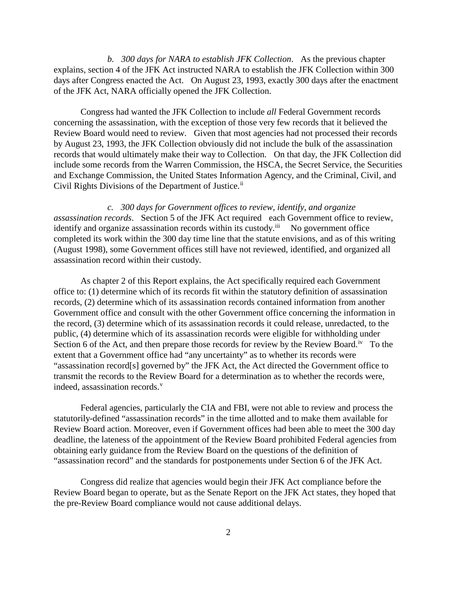*b. 300 days for NARA to establish JFK Collection*. As the previous chapter explains, section 4 of the JFK Act instructed NARA to establish the JFK Collection within 300 days after Congress enacted the Act. On August 23, 1993, exactly 300 days after the enactment of the JFK Act, NARA officially opened the JFK Collection.

Congress had wanted the JFK Collection to include *all* Federal Government records concerning the assassination, with the exception of those very few records that it believed the Review Board would need to review. Given that most agencies had not processed their records by August 23, 1993, the JFK Collection obviously did not include the bulk of the assassination records that would ultimately make their way to Collection. On that day, the JFK Collection did include some records from the Warren Commission, the HSCA, the Secret Service, the Securities and Exchange Commission, the United States Information Agency, and the Criminal, Civil, and Civil Rights Divisions of the Department of Justice.<sup>[ii](#page-11-0)</sup>

*c. 300 days for Government offices to review, identify, and organize assassination records*. Section 5 of the JFK Act required each Government office to review, identify and organize assassination records within its custody. $\overline{ii}$  No government office completed its work within the 300 day time line that the statute envisions, and as of this writing (August 1998), some Government offices still have not reviewed, identified, and organized all assassination record within their custody.

As chapter 2 of this Report explains, the Act specifically required each Government office to: (1) determine which of its records fit within the statutory definition of assassination records, (2) determine which of its assassination records contained information from another Government office and consult with the other Government office concerning the information in the record, (3) determine which of its assassination records it could release, unredacted, to the public, (4) determine which of its assassination records were eligible for withholding under Section 6 of the Act, and then prepare those records for review by the Review Board.<sup>[iv](#page-11-2)</sup> To the extent that a Government office had "any uncertainty" as to whether its records were "assassination record[s] governed by" the JFK Act, the Act directed the Government office to transmit the records to the Review Board for a determination as to whether the records were, indeed, assassination records. $v$ 

Federal agencies, particularly the CIA and FBI, were not able to review and process the statutorily-defined "assassination records" in the time allotted and to make them available for Review Board action. Moreover, even if Government offices had been able to meet the 300 day deadline, the lateness of the appointment of the Review Board prohibited Federal agencies from obtaining early guidance from the Review Board on the questions of the definition of "assassination record" and the standards for postponements under Section 6 of the JFK Act.

Congress did realize that agencies would begin their JFK Act compliance before the Review Board began to operate, but as the Senate Report on the JFK Act states, they hoped that the pre-Review Board compliance would not cause additional delays.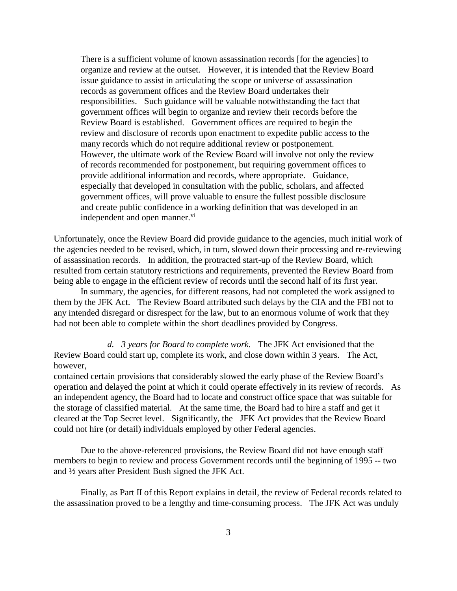There is a sufficient volume of known assassination records [for the agencies] to organize and review at the outset. However, it is intended that the Review Board issue guidance to assist in articulating the scope or universe of assassination records as government offices and the Review Board undertakes their responsibilities. Such guidance will be valuable notwithstanding the fact that government offices will begin to organize and review their records before the Review Board is established. Government offices are required to begin the review and disclosure of records upon enactment to expedite public access to the many records which do not require additional review or postponement. However, the ultimate work of the Review Board will involve not only the review of records recommended for postponement, but requiring government offices to provide additional information and records, where appropriate. Guidance, especially that developed in consultation with the public, scholars, and affected government offices, will prove valuable to ensure the fullest possible disclosure and create public confidence in a working definition that was developed in an independent and open manner.<sup>[vi](#page-11-4)</sup>

Unfortunately, once the Review Board did provide guidance to the agencies, much initial work of the agencies needed to be revised, which, in turn, slowed down their processing and re-reviewing of assassination records. In addition, the protracted start-up of the Review Board, which resulted from certain statutory restrictions and requirements, prevented the Review Board from being able to engage in the efficient review of records until the second half of its first year.

In summary, the agencies, for different reasons, had not completed the work assigned to them by the JFK Act. The Review Board attributed such delays by the CIA and the FBI not to any intended disregard or disrespect for the law, but to an enormous volume of work that they had not been able to complete within the short deadlines provided by Congress.

*d. 3 years for Board to complete work*. The JFK Act envisioned that the Review Board could start up, complete its work, and close down within 3 years. The Act, however,

contained certain provisions that considerably slowed the early phase of the Review Board's operation and delayed the point at which it could operate effectively in its review of records. As an independent agency, the Board had to locate and construct office space that was suitable for the storage of classified material. At the same time, the Board had to hire a staff and get it cleared at the Top Secret level. Significantly, the JFK Act provides that the Review Board could not hire (or detail) individuals employed by other Federal agencies.

Due to the above-referenced provisions, the Review Board did not have enough staff members to begin to review and process Government records until the beginning of 1995 -- two and ½ years after President Bush signed the JFK Act.

Finally, as Part II of this Report explains in detail, the review of Federal records related to the assassination proved to be a lengthy and time-consuming process. The JFK Act was unduly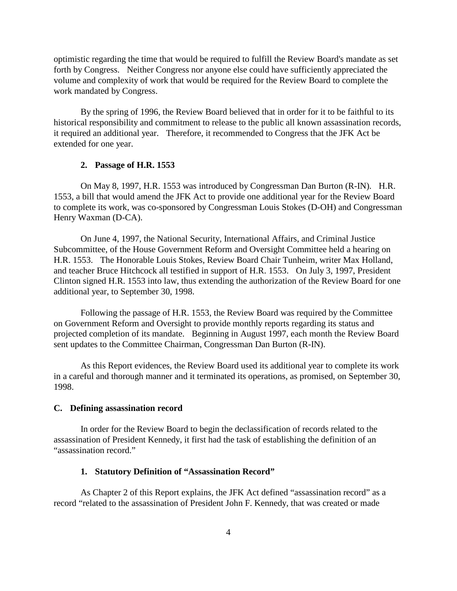optimistic regarding the time that would be required to fulfill the Review Board's mandate as set forth by Congress. Neither Congress nor anyone else could have sufficiently appreciated the volume and complexity of work that would be required for the Review Board to complete the work mandated by Congress.

By the spring of 1996, the Review Board believed that in order for it to be faithful to its historical responsibility and commitment to release to the public all known assassination records, it required an additional year. Therefore, it recommended to Congress that the JFK Act be extended for one year.

### **2. Passage of H.R. 1553**

On May 8, 1997, H.R. 1553 was introduced by Congressman Dan Burton (R-IN). H.R. 1553, a bill that would amend the JFK Act to provide one additional year for the Review Board to complete its work, was co-sponsored by Congressman Louis Stokes (D-OH) and Congressman Henry Waxman (D-CA).

On June 4, 1997, the National Security, International Affairs, and Criminal Justice Subcommittee, of the House Government Reform and Oversight Committee held a hearing on H.R. 1553. The Honorable Louis Stokes, Review Board Chair Tunheim, writer Max Holland, and teacher Bruce Hitchcock all testified in support of H.R. 1553. On July 3, 1997, President Clinton signed H.R. 1553 into law, thus extending the authorization of the Review Board for one additional year, to September 30, 1998.

Following the passage of H.R. 1553, the Review Board was required by the Committee on Government Reform and Oversight to provide monthly reports regarding its status and projected completion of its mandate. Beginning in August 1997, each month the Review Board sent updates to the Committee Chairman, Congressman Dan Burton (R-IN).

As this Report evidences, the Review Board used its additional year to complete its work in a careful and thorough manner and it terminated its operations, as promised, on September 30, 1998.

### **C. Defining assassination record**

In order for the Review Board to begin the declassification of records related to the assassination of President Kennedy, it first had the task of establishing the definition of an "assassination record."

### **1. Statutory Definition of "Assassination Record"**

As Chapter 2 of this Report explains, the JFK Act defined "assassination record" as a record "related to the assassination of President John F. Kennedy, that was created or made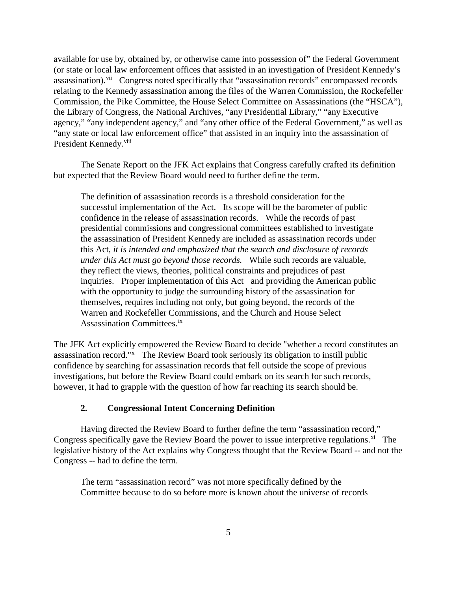available for use by, obtained by, or otherwise came into possession of" the Federal Government (or state or local law enforcement offices that assisted in an investigation of President Kennedy's assassination).<sup>[vii](#page-11-5)</sup> Congress noted specifically that "assassination records" encompassed records relating to the Kennedy assassination among the files of the Warren Commission, the Rockefeller Commission, the Pike Committee, the House Select Committee on Assassinations (the "HSCA"), the Library of Congress, the National Archives, "any Presidential Library," "any Executive agency," "any independent agency," and "any other office of the Federal Government," as well as "any state or local law enforcement office" that assisted in an inquiry into the assassination of President Kennedy.<sup>[viii](#page-11-6)</sup>

The Senate Report on the JFK Act explains that Congress carefully crafted its definition but expected that the Review Board would need to further define the term.

The definition of assassination records is a threshold consideration for the successful implementation of the Act. Its scope will be the barometer of public confidence in the release of assassination records. While the records of past presidential commissions and congressional committees established to investigate the assassination of President Kennedy are included as assassination records under this Act, *it is intended and emphasized that the search and disclosure of records under this Act must go beyond those records.* While such records are valuable, they reflect the views, theories, political constraints and prejudices of past inquiries. Proper implementation of this Act and providing the American public with the opportunity to judge the surrounding history of the assassination for themselves, requires including not only, but going beyond, the records of the Warren and Rockefeller Commissions, and the Church and House Select Assassination Committees.[ix](#page-11-7)

The JFK Act explicitly empowered the Review Board to decide "whether a record constitutes an assassination record."<sup>[x](#page-11-8)</sup> The Review Board took seriously its obligation to instill public confidence by searching for assassination records that fell outside the scope of previous investigations, but before the Review Board could embark on its search for such records, however, it had to grapple with the question of how far reaching its search should be.

# **2. Congressional Intent Concerning Definition**

Having directed the Review Board to further define the term "assassination record," Congress specifically gave the Review Board the power to issue interpretive regulations.<sup>[xi](#page-11-9)</sup> The legislative history of the Act explains why Congress thought that the Review Board -- and not the Congress -- had to define the term.

The term "assassination record" was not more specifically defined by the Committee because to do so before more is known about the universe of records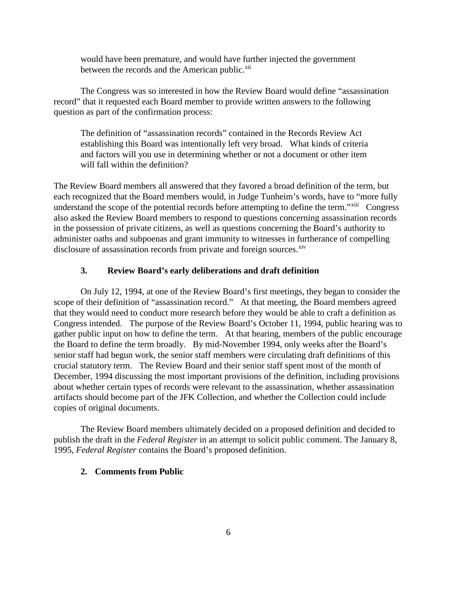would have been premature, and would have further injected the government between the records and the American public.<sup>[xii](#page-11-10)</sup>

The Congress was so interested in how the Review Board would define "assassination record" that it requested each Board member to provide written answers to the following question as part of the confirmation process:

The definition of "assassination records" contained in the Records Review Act establishing this Board was intentionally left very broad. What kinds of criteria and factors will you use in determining whether or not a document or other item will fall within the definition?

The Review Board members all answered that they favored a broad definition of the term, but each recognized that the Board members would, in Judge Tunheim's words, have to "more fully understand the scope of the potential records before attempting to define the term."<sup>xiii</sup> Congress also asked the Review Board members to respond to questions concerning assassination records in the possession of private citizens, as well as questions concerning the Board's authority to administer oaths and subpoenas and grant immunity to witnesses in furtherance of compelling disclosure of assassination records from private and foreign sources.<sup>[xiv](#page-11-12)</sup>

# **3. Review Board's early deliberations and draft definition**

On July 12, 1994, at one of the Review Board's first meetings, they began to consider the scope of their definition of "assassination record." At that meeting, the Board members agreed that they would need to conduct more research before they would be able to craft a definition as Congress intended. The purpose of the Review Board's October 11, 1994, public hearing was to gather public input on how to define the term. At that hearing, members of the public encourage the Board to define the term broadly. By mid-November 1994, only weeks after the Board's senior staff had begun work, the senior staff members were circulating draft definitions of this crucial statutory term. The Review Board and their senior staff spent most of the month of December, 1994 discussing the most important provisions of the definition, including provisions about whether certain types of records were relevant to the assassination, whether assassination artifacts should become part of the JFK Collection, and whether the Collection could include copies of original documents.

The Review Board members ultimately decided on a proposed definition and decided to publish the draft in the *Federal Register* in an attempt to solicit public comment. The January 8, 1995, *Federal Register* contains the Board's proposed definition.

### **2. Comments from Public**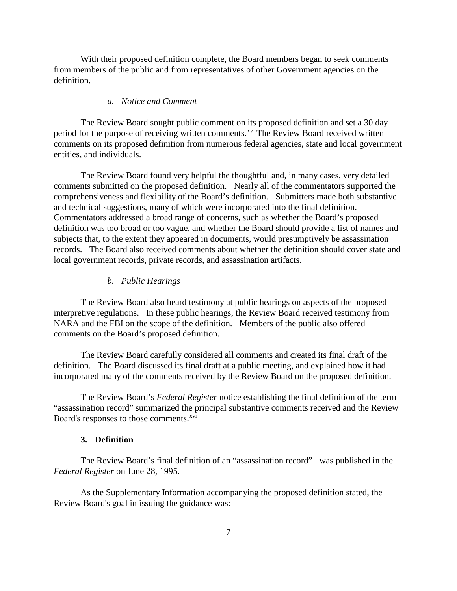With their proposed definition complete, the Board members began to seek comments from members of the public and from representatives of other Government agencies on the definition.

#### *a. Notice and Comment*

The Review Board sought public comment on its proposed definition and set a 30 day period for the purpose of receiving written comments.<sup>[xv](#page-11-13)</sup> The Review Board received written comments on its proposed definition from numerous federal agencies, state and local government entities, and individuals.

The Review Board found very helpful the thoughtful and, in many cases, very detailed comments submitted on the proposed definition. Nearly all of the commentators supported the comprehensiveness and flexibility of the Board's definition. Submitters made both substantive and technical suggestions, many of which were incorporated into the final definition. Commentators addressed a broad range of concerns, such as whether the Board's proposed definition was too broad or too vague, and whether the Board should provide a list of names and subjects that, to the extent they appeared in documents, would presumptively be assassination records. The Board also received comments about whether the definition should cover state and local government records, private records, and assassination artifacts.

#### *b. Public Hearings*

The Review Board also heard testimony at public hearings on aspects of the proposed interpretive regulations. In these public hearings, the Review Board received testimony from NARA and the FBI on the scope of the definition. Members of the public also offered comments on the Board's proposed definition.

The Review Board carefully considered all comments and created its final draft of the definition. The Board discussed its final draft at a public meeting, and explained how it had incorporated many of the comments received by the Review Board on the proposed definition.

The Review Board's *Federal Register* notice establishing the final definition of the term "assassination record" summarized the principal substantive comments received and the Review Board's responses to those comments.<sup>xvi</sup>

## **3. Definition**

The Review Board's final definition of an "assassination record" was published in the *Federal Register* on June 28, 1995.

As the Supplementary Information accompanying the proposed definition stated, the Review Board's goal in issuing the guidance was: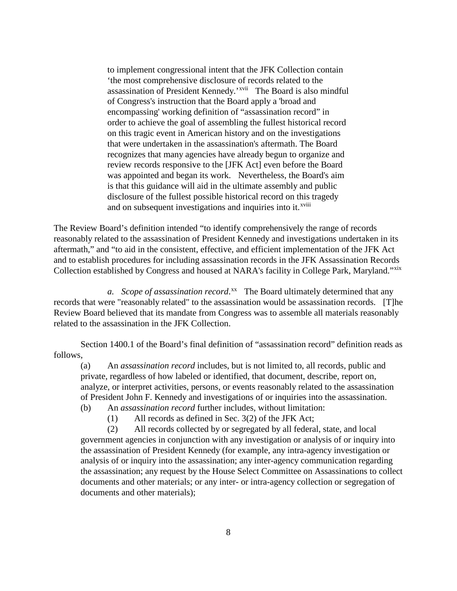to implement congressional intent that the JFK Collection contain 'the most comprehensive disclosure of records related to the assassination of President Kennedy.'<sup>[xvii](#page-11-15)</sup> The Board is also mindful and on subsequent investigations and inquiries into it.<sup>xviii</sup> of Congress's instruction that the Board apply a 'broad and encompassing' working definition of "assassination record" in order to achieve the goal of assembling the fullest historical record on this tragic event in American history and on the investigations that were undertaken in the assassination's aftermath. The Board recognizes that many agencies have already begun to organize and review records responsive to the [JFK Act] even before the Board was appointed and began its work. Nevertheless, the Board's aim is that this guidance will aid in the ultimate assembly and public disclosure of the fullest possible historical record on this [t](#page-11-16)ragedy

The Review Board's definition intended "to identify comprehensively the range of records reasonably related to the assassination of President Kennedy and investigations undertaken in its aftermath," and "to aid in the consistent, effective, and efficient implementation of the JFK Act and to establish procedures for including assassination records in the JFK Assassination Records Collection established by Congress and housed at NARA's facility in College Park, Maryland."[xix](#page-11-17)

*a. Scope of assassination record*. [xx](#page-11-18) The Board ultimately determined that any records that were "reasonably related" to the assassination would be assassination records. [T]he Review Board believed that its mandate from Congress was to assemble all materials reasonably related to the assassination in the JFK Collection.

Section 1400.1 of the Board's final definition of "assassination record" definition reads as follows,

(a) An *assassination record* includes, but is not limited to, all records, public and private, regardless of how labeled or identified, that document, describe, report on, analyze, or interpret activities, persons, or events reasonably related to the assassination of President John F. Kennedy and investigations of or inquiries into the assassination. (b) An *assassination record* further includes, without limitation:

- - (1) All records as defined in Sec. 3(2) of the JFK Act;

(2) All records collected by or segregated by all federal, state, and local government agencies in conjunction with any investigation or analysis of or inquiry into the assassination of President Kennedy (for example, any intra-agency investigation or analysis of or inquiry into the assassination; any inter-agency communication regarding the assassination; any request by the House Select Committee on Assassinations to collect documents and other materials; or any inter- or intra-agency collection or segregation of documents and other materials);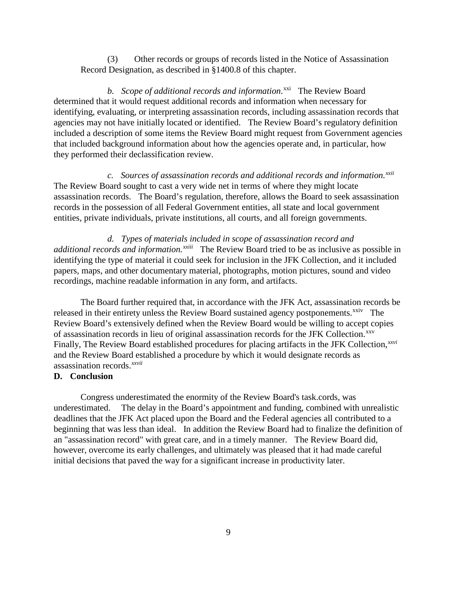(3) Other records or groups of records listed in the Notice of Assassination Record Designation, as described in §1400.8 of this chapter.

b. Scope of additional records and information.<sup>xxi</sup> The Review Board determined that it would request additional records and information when necessary for identifying, evaluating, or interpreting assassination records, including assassination records that agencies may not have initially located or identified. The Review Board's regulatory definition included a description of some items the Review Board might request from Government agencies that included background information about how the agencies operate and, in particular, how they performed their declassification review.

*c. Sources of assassination records and additional records and information.[xxii](#page-11-20)*  The Review Board sought to cast a very wide net in terms of where they might locate assassination records. The Board's regulation, therefore, allows the Board to seek assassination records in the possession of all Federal Government entities, all state and local government entities, private individuals, private institutions, all courts, and all foreign governments.

*d. Types of materials included in scope of assassination record and additional records and information.xxiii*The Review Board tried to be as inclusive as possible in identifying the type of material it could seek for inclusion in the JFK Collection, and it included papers, maps, and other documentary material, photographs, motion pictures, sound and video recordings, machine readable information in any form, and artifacts.

The Board further required that, in accordance with the JFK Act, assassination records be released in their entirety unless the Review Board sustained agency postponements.<sup>xxiv</sup> The *xxvii* assassination records. Review Board's extensively defined when the Review Board would be willing to accept copies of assassination records in lieu of original assassination records for the JFK Collection.<sup>xxv</sup> Finally, The Review Board established procedures for placing artifacts in the JFK Collection,*[xxvi](#page-11-24)* and the Review Board e[st](#page-11-25)ablished a procedure by which it would designate records as

## **D. Conclusion**

Congress underestimated the enormity of the Review Board's task.cords, was underestimated. The delay in the Board's appointment and funding, combined with unrealistic deadlines that the JFK Act placed upon the Board and the Federal agencies all contributed to a beginning that was less than ideal. In addition the Review Board had to finalize the definition of an "assassination record" with great care, and in a timely manner. The Review Board did, however, overcome its early challenges, and ultimately was pleased that it had made careful initial decisions that paved the way for a significant increase in productivity later.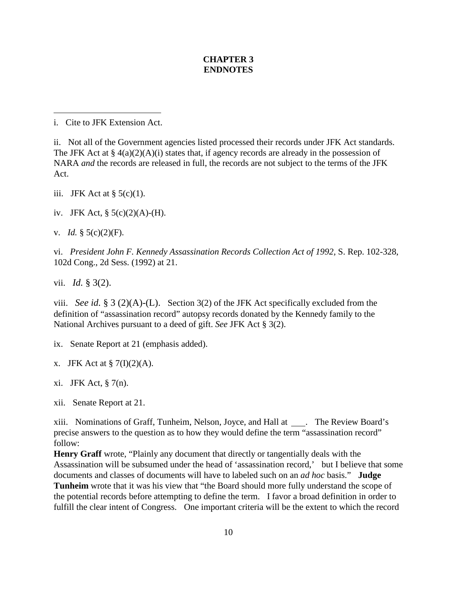# **CHAPTER 3 ENDNOTES**

i. Cite to JFK Extension Act.

 $\overline{a}$ 

ii. Not all of the Government agencies listed processed their records under JFK Act standards. The JFK Act at §  $4(a)(2)(A)(i)$  states that, if agency records are already in the possession of NARA *and* the records are released in full, the records are not subject to the terms of the JFK Act.

- iii. JFK Act at  $\S$  5(c)(1).
- iv. JFK Act,  $\S 5(c)(2)(A)$ -(H).
- v. *Id.* § 5(c)(2)(F).

vi. *President John F. Kennedy Assassination Records Collection Act of 1992,* S. Rep. 102-328, 102d Cong., 2d Sess. (1992) at 21.

vii. *Id.* § 3(2).

viii. *See id.* § 3 (2)(A)-(L). Section 3(2) of the JFK Act specifically excluded from the definition of "assassination record" autopsy records donated by the Kennedy family to the National Archives pursuant to a deed of gift. *See* JFK Act § 3(2).

- ix. Senate Report at 21 (emphasis added).
- x. JFK Act at  $\S$  7(I)(2)(A).
- xi. JFK Act, § 7(n).
- xii. Senate Report at 21.

xiii. Nominations of Graff, Tunheim, Nelson, Joyce, and Hall at . The Review Board's precise answers to the question as to how they would define the term "assassination record" follow:

**Henry Graff** wrote, "Plainly any document that directly or tangentially deals with the Assassination will be subsumed under the head of 'assassination record,' but I believe that some documents and classes of documents will have to labeled such on an *ad hoc* basis." **Judge** 

**Tunheim** wrote that it was his view that "the Board should more fully understand the scope of the potential records before attempting to define the term. I favor a broad definition in order to fulfill the clear intent of Congress. One important criteria will be the extent to which the record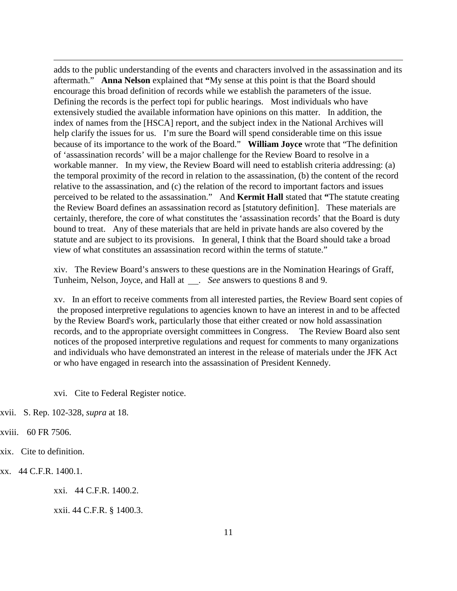<span id="page-10-0"></span>adds to the public understanding of the events and characters involved in the assassination and its aftermath." **Anna Nelson** explained that **"**My sense at this point is that the Board should encourage this broad definition of records while we establish the parameters of the issue. Defining the records is the perfect topi for public hearings. Most individuals who have extensively studied the available information have opinions on this matter. In addition, the index of names from the [HSCA] report, and the subject index in the National Archives will help clarify the issues for us. I'm sure the Board will spend considerable time on this issue because of its importance to the work of the Board." **William Joyce** wrote that "The definition of 'assassination records' will be a major challenge for the Review Board to resolve in a workable manner. In my view, the Review Board will need to establish criteria addressing: (a) the temporal proximity of the record in relation to the assassination, (b) the content of the record relative to the assassination, and (c) the relation of the record to important factors and issues perceived to be related to the assassination." And **Kermit Hall** stated that **"**The statute creating the Review Board defines an assassination record as [statutory definition]. These materials are certainly, therefore, the core of what constitutes the 'assassination records' that the Board is duty bound to treat. Any of these materials that are held in private hands are also covered by the statute and are subject to its provisions. In general, I think that the Board should take a broad view of what constitutes an assassination record within the terms of statute."

xiv. The Review Board's answers to these questions are in the Nomination Hearings of Graff, Tunheim, Nelson, Joyce, and Hall at \_\_\_. See answers to questions 8 and 9.

xv. In an effort to receive comments from all interested parties, the Review Board sent copies of the proposed interpretive regulations to agencies known to have an interest in and to be affected by the Review Board's work, particularly those that either created or now hold assassination records, and to the appropriate oversight committees in Congress. The Review Board also sent notices of the proposed interpretive regulations and request for comments to many organizations and individuals who have demonstrated an interest in the release of materials under the JFK Act or who have engaged in research into the assassination of President Kennedy.

xvi. Cite to Federal Register notice.

xvii. S. Rep. 102-328, *supra* at 18.

 $\overline{a}$ 

xviii. 60 FR 7506.

xix. Cite to definition.

xx. 44 C.F.R. 1400.1.

xxi. 44 C.F.R. 1400.2.

xxii. 44 C.F.R. § 1400.3.